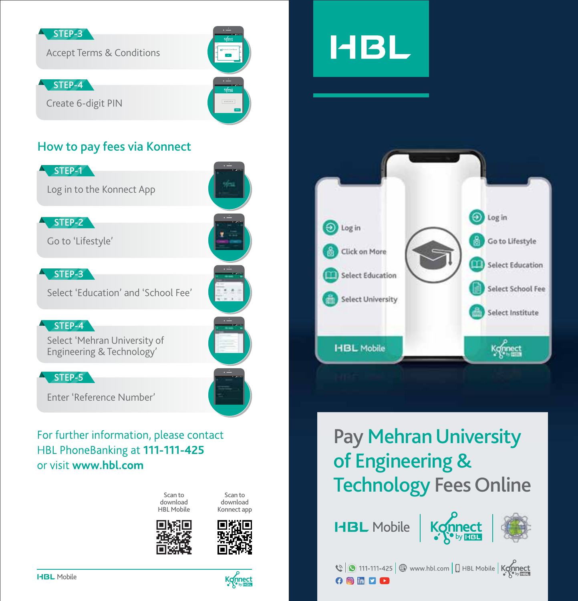#### STEP-3

Accept Terms & Conditions

STEP-4

Create 6-digit PIN

### How to pay fees via Konnect



Select 'Mehran University of Engineering & Technology'

### STEP-5

Enter 'Reference Number'

### For further information, please contact HBL PhoneBanking at 111-111-425 or visit www.hbl.com



Scan to download Konnect app

Bill Co √ Terms & Conditions

**50% 5:00 pm**

**50% 5:00 pm**

**50% 5:00 pm**

**50% 5:00 pm**







# **HBL**



# Pay Mehran University of Engineering & Technology Fees Online

**HBL** Mobile



**O D D D**